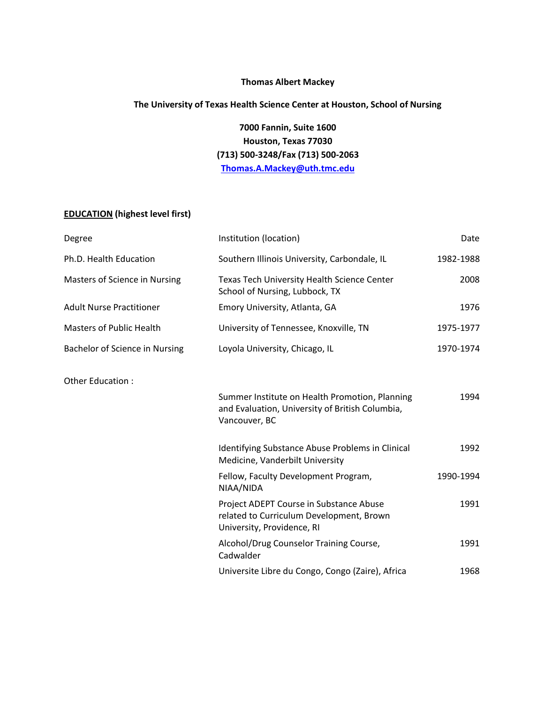## **Thomas Albert Mackey**

# **The University of Texas Health Science Center at Houston, School of Nursing**

**7000 Fannin, Suite 1600 Houston, Texas 77030 (713) 500-3248/Fax (713) 500-2063 [Thomas.A.Mackey@uth.tmc.edu](mailto:Thomas.A.Mackey@uth.tmc.edu)**

## **EDUCATION (highest level first)**

| Degree                          | Institution (location)                                                                                             | Date      |
|---------------------------------|--------------------------------------------------------------------------------------------------------------------|-----------|
| Ph.D. Health Education          | Southern Illinois University, Carbondale, IL                                                                       | 1982-1988 |
| Masters of Science in Nursing   | Texas Tech University Health Science Center<br>School of Nursing, Lubbock, TX                                      | 2008      |
| <b>Adult Nurse Practitioner</b> | Emory University, Atlanta, GA                                                                                      | 1976      |
| <b>Masters of Public Health</b> | University of Tennessee, Knoxville, TN                                                                             | 1975-1977 |
| Bachelor of Science in Nursing  | Loyola University, Chicago, IL                                                                                     | 1970-1974 |
| Other Education:                |                                                                                                                    |           |
|                                 | Summer Institute on Health Promotion, Planning<br>and Evaluation, University of British Columbia,<br>Vancouver, BC | 1994      |
|                                 | Identifying Substance Abuse Problems in Clinical<br>Medicine, Vanderbilt University                                | 1992      |
|                                 | Fellow, Faculty Development Program,<br>NIAA/NIDA                                                                  | 1990-1994 |
|                                 | Project ADEPT Course in Substance Abuse<br>related to Curriculum Development, Brown<br>University, Providence, RI  | 1991      |
|                                 | Alcohol/Drug Counselor Training Course,<br>Cadwalder                                                               | 1991      |
|                                 | Universite Libre du Congo, Congo (Zaire), Africa                                                                   | 1968      |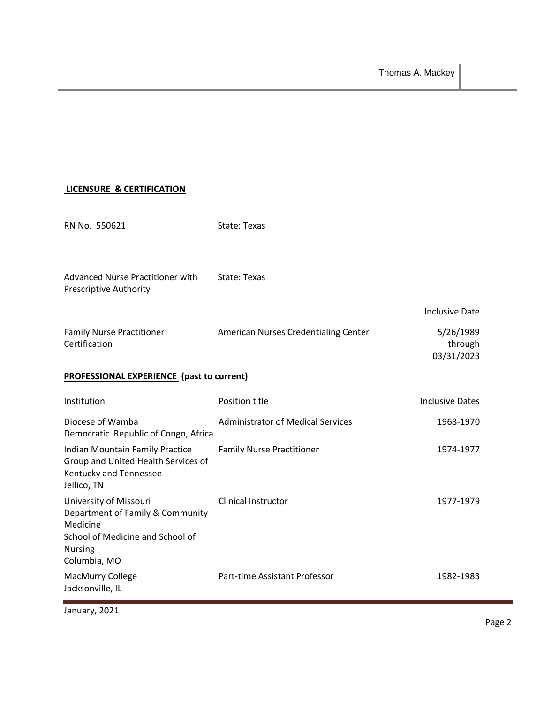## **LICENSURE & CERTIFICATION**

| RN No. 550621                                                                                                                                | State: Texas                             |                                    |
|----------------------------------------------------------------------------------------------------------------------------------------------|------------------------------------------|------------------------------------|
| Advanced Nurse Practitioner with<br><b>Prescriptive Authority</b>                                                                            | State: Texas                             |                                    |
|                                                                                                                                              |                                          | <b>Inclusive Date</b>              |
| <b>Family Nurse Practitioner</b><br>Certification                                                                                            | American Nurses Credentialing Center     | 5/26/1989<br>through<br>03/31/2023 |
| <b>PROFESSIONAL EXPERIENCE (past to current)</b>                                                                                             |                                          |                                    |
| Institution                                                                                                                                  | Position title                           | <b>Inclusive Dates</b>             |
| Diocese of Wamba<br>Democratic Republic of Congo, Africa                                                                                     | <b>Administrator of Medical Services</b> | 1968-1970                          |
| Indian Mountain Family Practice<br>Group and United Health Services of<br>Kentucky and Tennessee<br>Jellico, TN                              | <b>Family Nurse Practitioner</b>         | 1974-1977                          |
| University of Missouri<br>Department of Family & Community<br>Medicine<br>School of Medicine and School of<br><b>Nursing</b><br>Columbia, MO | Clinical Instructor                      | 1977-1979                          |
| MacMurry College<br>Jacksonville, IL                                                                                                         | Part-time Assistant Professor            | 1982-1983                          |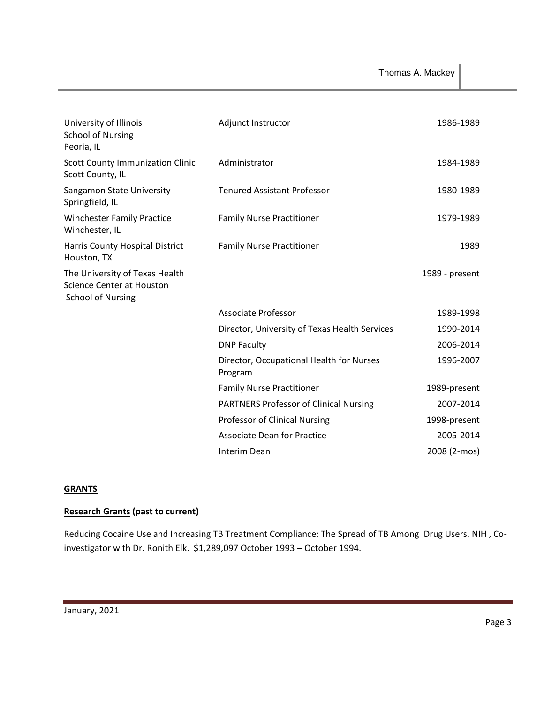| University of Illinois<br><b>School of Nursing</b><br>Peoria, IL                        | Adjunct Instructor                                  | 1986-1989      |
|-----------------------------------------------------------------------------------------|-----------------------------------------------------|----------------|
| <b>Scott County Immunization Clinic</b><br>Scott County, IL                             | Administrator                                       | 1984-1989      |
| Sangamon State University<br>Springfield, IL                                            | <b>Tenured Assistant Professor</b>                  | 1980-1989      |
| <b>Winchester Family Practice</b><br>Winchester, IL                                     | <b>Family Nurse Practitioner</b>                    | 1979-1989      |
| Harris County Hospital District<br>Houston, TX                                          | <b>Family Nurse Practitioner</b>                    | 1989           |
| The University of Texas Health<br>Science Center at Houston<br><b>School of Nursing</b> |                                                     | 1989 - present |
|                                                                                         | Associate Professor                                 | 1989-1998      |
|                                                                                         | Director, University of Texas Health Services       | 1990-2014      |
|                                                                                         | <b>DNP Faculty</b>                                  | 2006-2014      |
|                                                                                         | Director, Occupational Health for Nurses<br>Program | 1996-2007      |
|                                                                                         | <b>Family Nurse Practitioner</b>                    | 1989-present   |
|                                                                                         | <b>PARTNERS Professor of Clinical Nursing</b>       | 2007-2014      |
|                                                                                         | Professor of Clinical Nursing                       | 1998-present   |
|                                                                                         | <b>Associate Dean for Practice</b>                  | 2005-2014      |
|                                                                                         | Interim Dean                                        | 2008 (2-mos)   |

## **GRANTS**

## **Research Grants (past to current)**

Reducing Cocaine Use and Increasing TB Treatment Compliance: The Spread of TB Among Drug Users. NIH , Coinvestigator with Dr. Ronith Elk. \$1,289,097 October 1993 – October 1994.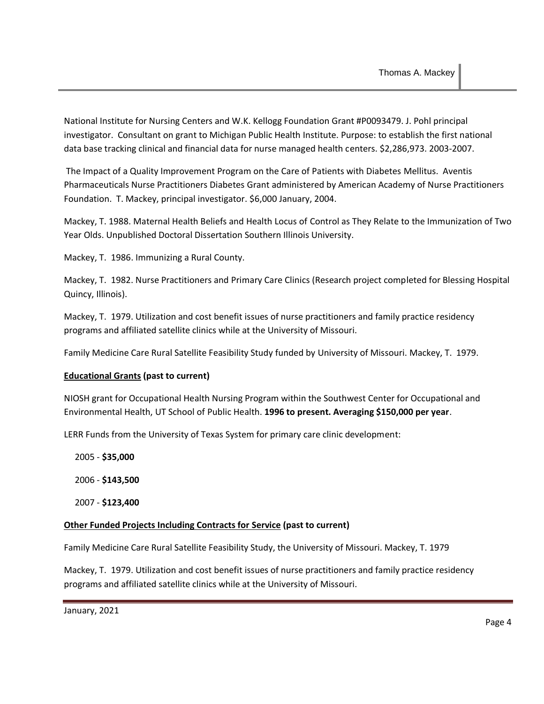National Institute for Nursing Centers and W.K. Kellogg Foundation Grant #P0093479. J. Pohl principal investigator. Consultant on grant to Michigan Public Health Institute. Purpose: to establish the first national data base tracking clinical and financial data for nurse managed health centers. \$2,286,973. 2003-2007.

The Impact of a Quality Improvement Program on the Care of Patients with Diabetes Mellitus. Aventis Pharmaceuticals Nurse Practitioners Diabetes Grant administered by American Academy of Nurse Practitioners Foundation. T. Mackey, principal investigator. \$6,000 January, 2004.

Mackey, T. 1988. Maternal Health Beliefs and Health Locus of Control as They Relate to the Immunization of Two Year Olds. Unpublished Doctoral Dissertation Southern Illinois University.

Mackey, T. 1986. Immunizing a Rural County.

Mackey, T. 1982. Nurse Practitioners and Primary Care Clinics (Research project completed for Blessing Hospital Quincy, Illinois).

Mackey, T. 1979. Utilization and cost benefit issues of nurse practitioners and family practice residency programs and affiliated satellite clinics while at the University of Missouri.

Family Medicine Care Rural Satellite Feasibility Study funded by University of Missouri. Mackey, T. 1979.

## **Educational Grants (past to current)**

NIOSH grant for Occupational Health Nursing Program within the Southwest Center for Occupational and Environmental Health, UT School of Public Health. **1996 to present. Averaging \$150,000 per year**.

LERR Funds from the University of Texas System for primary care clinic development:

2005 - **\$35,000**

2006 - **\$143,500**

2007 - **\$123,400**

## **Other Funded Projects Including Contracts for Service (past to current)**

Family Medicine Care Rural Satellite Feasibility Study, the University of Missouri. Mackey, T. 1979

Mackey, T. 1979. Utilization and cost benefit issues of nurse practitioners and family practice residency programs and affiliated satellite clinics while at the University of Missouri.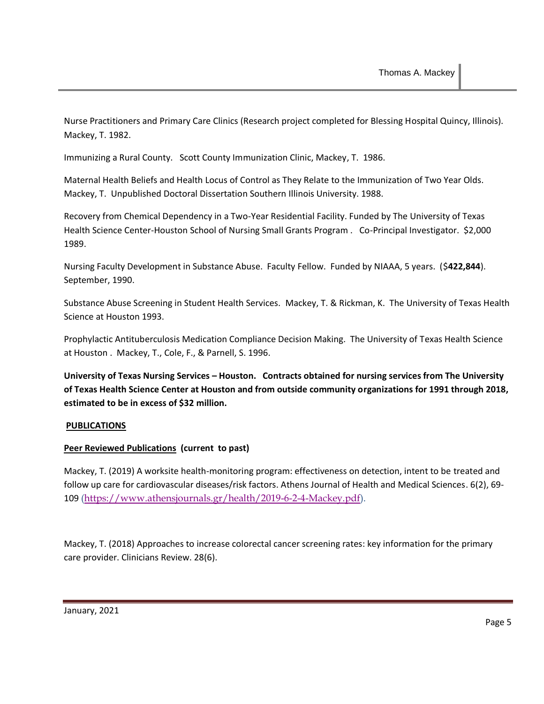Nurse Practitioners and Primary Care Clinics (Research project completed for Blessing Hospital Quincy, Illinois). Mackey, T. 1982.

Immunizing a Rural County. Scott County Immunization Clinic, Mackey, T. 1986.

Maternal Health Beliefs and Health Locus of Control as They Relate to the Immunization of Two Year Olds. Mackey, T. Unpublished Doctoral Dissertation Southern Illinois University. 1988.

Recovery from Chemical Dependency in a Two-Year Residential Facility. Funded by The University of Texas Health Science Center-Houston School of Nursing Small Grants Program . Co-Principal Investigator. \$2,000 1989.

Nursing Faculty Development in Substance Abuse. Faculty Fellow. Funded by NIAAA, 5 years. (\$**422,844**). September, 1990.

Substance Abuse Screening in Student Health Services. Mackey, T. & Rickman, K. The University of Texas Health Science at Houston 1993.

Prophylactic Antituberculosis Medication Compliance Decision Making. The University of Texas Health Science at Houston . Mackey, T., Cole, F., & Parnell, S. 1996.

**University of Texas Nursing Services – Houston. Contracts obtained for nursing services from The University of Texas Health Science Center at Houston and from outside community organizations for 1991 through 2018, estimated to be in excess of \$32 million.**

## **PUBLICATIONS**

## **Peer Reviewed Publications (current to past)**

Mackey, T. (2019) A worksite health-monitoring program: effectiveness on detection, intent to be treated and follow up care for cardiovascular diseases/risk factors. Athens Journal of Health and Medical Sciences. 6(2), 69- 109 [\(https://www.athensjournals.gr/health/2019-6-2-4-Mackey.pdf\)](https://urldefense.proofpoint.com/v2/url?u=https-3A__www.athensjournals.gr_health_2019-2D6-2D2-2D4-2DMackey.pdf&d=DwMFCQ&c=bKRySV-ouEg_AT-w2QWsTdd9X__KYh9Eq2fdmQDVZgw&r=h882UI-TEGiyGbhTIL-BiMOy6evr_1Pq0l7BVSQLbJ4&m=gNdk8UofPSOxksbeHVUybiD4D1_dEBQugaJmlyOOCSo&s=k1Ociq-7ruZmeuf2E-ojuxhaXOU3r96r6vlS_G54v6g&e=).

Mackey, T. (2018) Approaches to increase colorectal cancer screening rates: key information for the primary care provider. Clinicians Review. 28(6).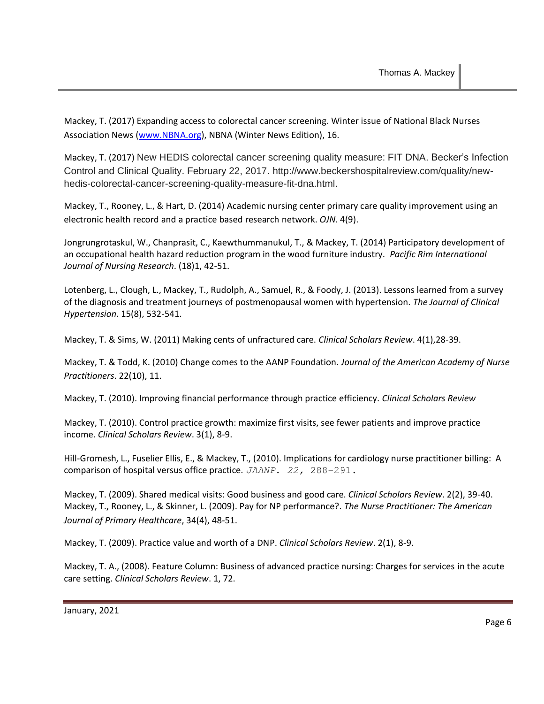Mackey, T. (2017) Expanding access to colorectal cancer screening. Winter issue of National Black Nurses Association News [\(www.NBNA.org\)](http://www.nbna.org/), NBNA (Winter News Edition), 16.

Mackey, T. (2017) New HEDIS colorectal cancer screening quality measure: FIT DNA. Becker's Infection Control and Clinical Quality. February 22, 2017. http://www.beckershospitalreview.com/quality/newhedis-colorectal-cancer-screening-quality-measure-fit-dna.html.

Mackey, T., Rooney, L., & Hart, D. (2014) Academic nursing center primary care quality improvement using an electronic health record and a practice based research network. *OJN*. 4(9).

Jongrungrotaskul, W., Chanprasit, C., Kaewthummanukul, T., & Mackey, T. (2014) Participatory development of an occupational health hazard reduction program in the wood furniture industry. *Pacific Rim International Journal of Nursing Research*. (18)1, 42-51.

Lotenberg, L., Clough, L., Mackey, T., Rudolph, A., Samuel, R., & Foody, J. (2013). Lessons learned from a survey of the diagnosis and treatment journeys of postmenopausal women with hypertension. *The Journal of Clinical Hypertension*. 15(8), 532-541.

Mackey, T. & Sims, W. (2011) Making cents of unfractured care. *Clinical Scholars Review*. 4(1),28-39.

Mackey, T. & Todd, K. (2010) Change comes to the AANP Foundation. *Journal of the American Academy of Nurse Practitioners*. 22(10), 11.

Mackey, T. (2010). Improving financial performance through practice efficiency. *Clinical Scholars Review*

Mackey, T. (2010). Control practice growth: maximize first visits, see fewer patients and improve practice income. *Clinical Scholars Review*. 3(1), 8-9.

Hill-Gromesh, L., Fuselier Ellis, E., & Mackey, T., (2010). Implications for cardiology nurse practitioner billing: A comparison of hospital versus office practice. *JAANP*. *22,* 288–291.

Mackey, T. (2009). Shared medical visits: Good business and good care. *Clinical Scholars Review*. 2(2), 39-40. Mackey, T., Rooney, L., & Skinner, L. (2009). Pay for NP performance?. *The Nurse Practitioner: The American Journal of Primary Healthcare*, 34(4), 48-51.

Mackey, T. (2009). Practice value and worth of a DNP. *Clinical Scholars Review*. 2(1), 8-9.

Mackey, T. A., (2008). Feature Column: Business of advanced practice nursing: Charges for services in the acute care setting. *Clinical Scholars Review*. 1, 72.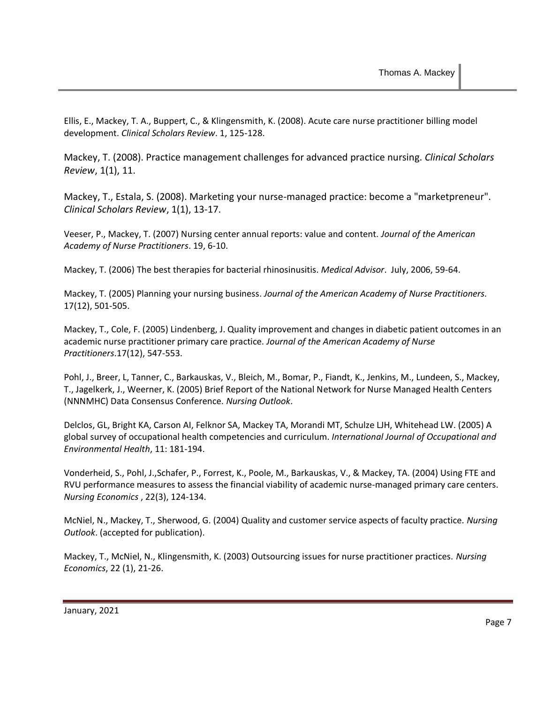Ellis, E., Mackey, T. A., Buppert, C., & Klingensmith, K. (2008). Acute care nurse practitioner billing model development. *Clinical Scholars Review*. 1, 125-128.

Mackey, T. (2008). Practice management challenges for advanced practice nursing. *Clinical Scholars Review*, 1(1), 11.

Mackey, T., Estala, S. (2008). Marketing your nurse-managed practice: become a "marketpreneur". *Clinical Scholars Review*, 1(1), 13-17.

Veeser, P., Mackey, T. (2007) Nursing center annual reports: value and content. *Journal of the American Academy of Nurse Practitioners*. 19, 6-10.

Mackey, T. (2006) The best therapies for bacterial rhinosinusitis. *Medical Advisor*. July, 2006, 59-64.

Mackey, T. (2005) Planning your nursing business. *Journal of the American Academy of Nurse Practitioners.* 17(12), 501-505.

Mackey, T., Cole, F. (2005) Lindenberg, J. Quality improvement and changes in diabetic patient outcomes in an academic nurse practitioner primary care practice. *Journal of the American Academy of Nurse Practitioners*.17(12), 547-553.

Pohl, J., Breer, L, Tanner, C., Barkauskas, V., Bleich, M., Bomar, P., Fiandt, K., Jenkins, M., Lundeen, S., Mackey, T., Jagelkerk, J., Weerner, K. (2005) Brief Report of the National Network for Nurse Managed Health Centers (NNNMHC) Data Consensus Conference. *Nursing Outlook*.

Delclos, GL, Bright KA, Carson AI, Felknor SA, Mackey TA, Morandi MT, Schulze LJH, Whitehead LW. (2005) A global survey of occupational health competencies and curriculum. *International Journal of Occupational and Environmental Health*, 11: 181-194.

Vonderheid, S., Pohl, J.,Schafer, P., Forrest, K., Poole, M., Barkauskas, V., & Mackey, TA. (2004) Using FTE and RVU performance measures to assess the financial viability of academic nurse-managed primary care centers. *Nursing Economics* , 22(3), 124-134.

McNiel, N., Mackey, T., Sherwood, G. (2004) Quality and customer service aspects of faculty practice. *Nursing Outlook*. (accepted for publication).

Mackey, T., McNiel, N., Klingensmith, K. (2003) Outsourcing issues for nurse practitioner practices. *Nursing Economics*, 22 (1), 21-26.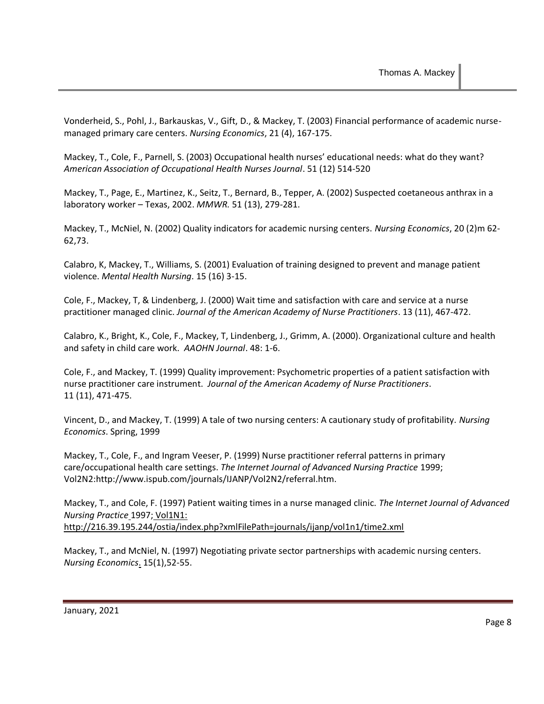Vonderheid, S., Pohl, J., Barkauskas, V., Gift, D., & Mackey, T. (2003) Financial performance of academic nursemanaged primary care centers. *Nursing Economics*, 21 (4), 167-175.

Mackey, T., Cole, F., Parnell, S. (2003) Occupational health nurses' educational needs: what do they want? *American Association of Occupational Health Nurses Journal*. 51 (12) 514-520

Mackey, T., Page, E., Martinez, K., Seitz, T., Bernard, B., Tepper, A. (2002) Suspected coetaneous anthrax in a laboratory worker – Texas, 2002. *MMWR.* 51 (13), 279-281.

Mackey, T., McNiel, N. (2002) Quality indicators for academic nursing centers. *Nursing Economics*, 20 (2)m 62- 62,73.

Calabro, K, Mackey, T., Williams, S. (2001) Evaluation of training designed to prevent and manage patient violence. *Mental Health Nursing*. 15 (16) 3-15.

Cole, F., Mackey, T, & Lindenberg, J. (2000) Wait time and satisfaction with care and service at a nurse practitioner managed clinic. *Journal of the American Academy of Nurse Practitioners*. 13 (11), 467-472.

Calabro, K., Bright, K., Cole, F., Mackey, T, Lindenberg, J., Grimm, A. (2000). Organizational culture and health and safety in child care work. *AAOHN Journal*. 48: 1-6.

Cole, F., and Mackey, T. (1999) Quality improvement: Psychometric properties of a patient satisfaction with nurse practitioner care instrument. *Journal of the American Academy of Nurse Practitioners*. 11 (11), 471-475.

Vincent, D., and Mackey, T. (1999) A tale of two nursing centers: A cautionary study of profitability. *Nursing Economics*. Spring, 1999

Mackey, T., Cole, F., and Ingram Veeser, P. (1999) Nurse practitioner referral patterns in primary care/occupational health care settings. *The Internet Journal of Advanced Nursing Practice* 1999; Vol2N2:http://www.ispub.com/journals/IJANP/Vol2N2/referral.htm.

Mackey, T., and Cole, F. (1997) Patient waiting times in a nurse managed clinic. *The Internet Journal of Advanced Nursing Practice* 1997; Vol1N1: http://216.39.195.244/ostia/index.php?xmlFilePath=journals/ijanp/vol1n1/time2.xml

Mackey, T., and McNiel, N. (1997) Negotiating private sector partnerships with academic nursing centers. *Nursing Economics*. 15(1),52-55.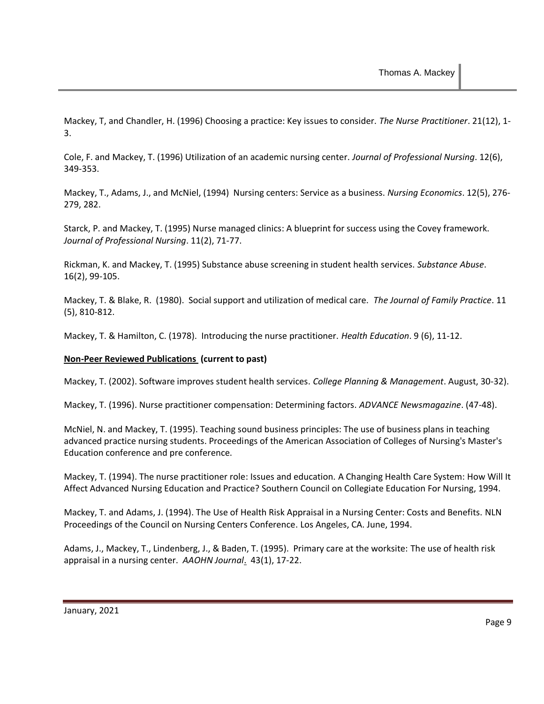Mackey, T, and Chandler, H. (1996) Choosing a practice: Key issues to consider. *The Nurse Practitioner*. 21(12), 1- 3.

Cole, F. and Mackey, T. (1996) Utilization of an academic nursing center. *Journal of Professional Nursing*. 12(6), 349-353.

Mackey, T., Adams, J., and McNiel, (1994) Nursing centers: Service as a business. *Nursing Economics*. 12(5), 276- 279, 282.

Starck, P. and Mackey, T. (1995) Nurse managed clinics: A blueprint for success using the Covey framework. *Journal of Professional Nursing*. 11(2), 71-77.

Rickman, K. and Mackey, T. (1995) Substance abuse screening in student health services. *Substance Abuse*. 16(2), 99-105.

Mackey, T. & Blake, R. (1980). Social support and utilization of medical care. *The Journal of Family Practice*. 11 (5), 810-812.

Mackey, T. & Hamilton, C. (1978). Introducing the nurse practitioner. *Health Education*. 9 (6), 11-12.

#### **Non-Peer Reviewed Publications (current to past)**

Mackey, T. (2002). Software improves student health services. *College Planning & Management*. August, 30-32).

Mackey, T. (1996). Nurse practitioner compensation: Determining factors. *ADVANCE Newsmagazine*. (47-48).

McNiel, N. and Mackey, T. (1995). Teaching sound business principles: The use of business plans in teaching advanced practice nursing students. Proceedings of the American Association of Colleges of Nursing's Master's Education conference and pre conference.

Mackey, T. (1994). The nurse practitioner role: Issues and education. A Changing Health Care System: How Will It Affect Advanced Nursing Education and Practice? Southern Council on Collegiate Education For Nursing, 1994.

Mackey, T. and Adams, J. (1994). The Use of Health Risk Appraisal in a Nursing Center: Costs and Benefits. NLN Proceedings of the Council on Nursing Centers Conference. Los Angeles, CA. June, 1994.

Adams, J., Mackey, T., Lindenberg, J., & Baden, T. (1995). Primary care at the worksite: The use of health risk appraisal in a nursing center. *AAOHN Journal*. 43(1), 17-22.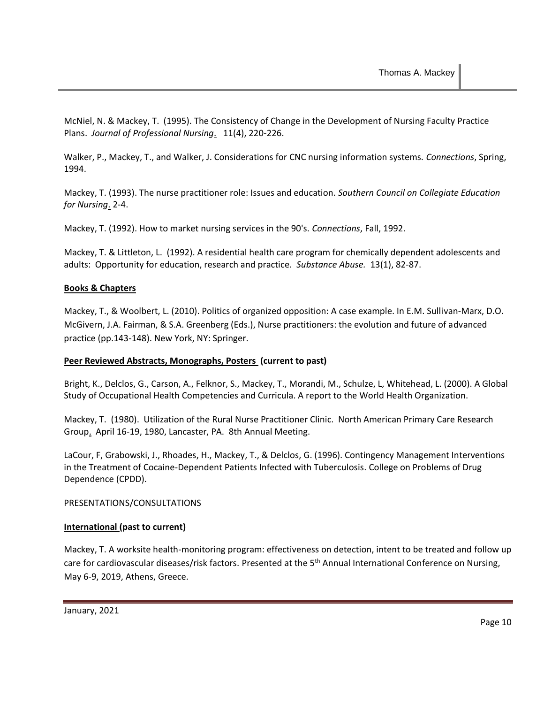McNiel, N. & Mackey, T. (1995). The Consistency of Change in the Development of Nursing Faculty Practice Plans. *Journal of Professional Nursing*. 11(4), 220-226.

Walker, P., Mackey, T., and Walker, J. Considerations for CNC nursing information systems. *Connections*, Spring, 1994.

Mackey, T. (1993). The nurse practitioner role: Issues and education. *Southern Council on Collegiate Education for Nursing*. 2-4.

Mackey, T. (1992). How to market nursing services in the 90's. *Connections*, Fall, 1992.

Mackey, T. & Littleton, L. (1992). A residential health care program for chemically dependent adolescents and adults: Opportunity for education, research and practice. *Substance Abuse.* 13(1), 82-87.

## **Books & Chapters**

Mackey, T., & Woolbert, L. (2010). Politics of organized opposition: A case example. In E.M. Sullivan-Marx, D.O. McGivern, J.A. Fairman, & S.A. Greenberg (Eds.), Nurse practitioners: the evolution and future of advanced practice (pp.143-148). New York, NY: Springer.

#### **Peer Reviewed Abstracts, Monographs, Posters (current to past)**

Bright, K., Delclos, G., Carson, A., Felknor, S., Mackey, T., Morandi, M., Schulze, L, Whitehead, L. (2000). A Global Study of Occupational Health Competencies and Curricula. A report to the World Health Organization.

Mackey, T. (1980). Utilization of the Rural Nurse Practitioner Clinic. North American Primary Care Research Group. April 16-19, 1980, Lancaster, PA. 8th Annual Meeting.

LaCour, F, Grabowski, J., Rhoades, H., Mackey, T., & Delclos, G. (1996). Contingency Management Interventions in the Treatment of Cocaine-Dependent Patients Infected with Tuberculosis. College on Problems of Drug Dependence (CPDD).

#### PRESENTATIONS/CONSULTATIONS

#### **International (past to current)**

Mackey, T. A worksite health-monitoring program: effectiveness on detection, intent to be treated and follow up care for cardiovascular diseases/risk factors. Presented at the 5<sup>th</sup> Annual International Conference on Nursing, May 6-9, 2019, Athens, Greece.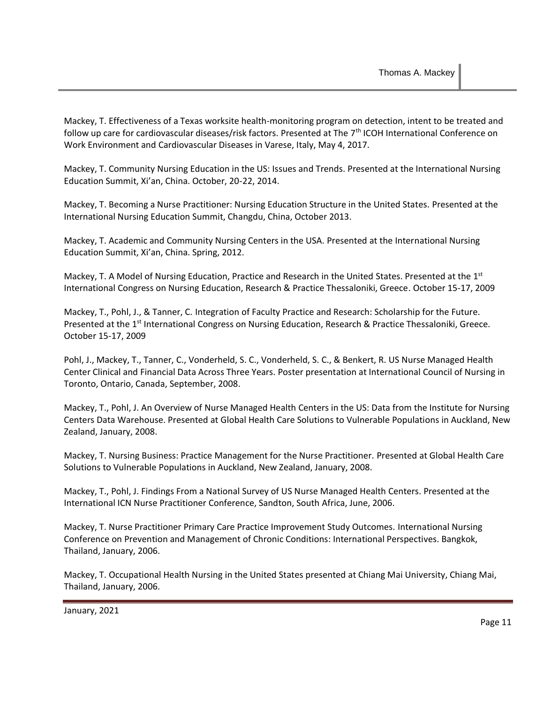Mackey, T. Effectiveness of a Texas worksite health-monitoring program on detection, intent to be treated and follow up care for cardiovascular diseases/risk factors. Presented at The 7<sup>th</sup> ICOH International Conference on Work Environment and Cardiovascular Diseases in Varese, Italy, May 4, 2017.

Mackey, T. Community Nursing Education in the US: Issues and Trends. Presented at the International Nursing Education Summit, Xi'an, China. October, 20-22, 2014.

Mackey, T. Becoming a Nurse Practitioner: Nursing Education Structure in the United States. Presented at the International Nursing Education Summit, Changdu, China, October 2013.

Mackey, T. Academic and Community Nursing Centers in the USA. Presented at the International Nursing Education Summit, Xi'an, China. Spring, 2012.

Mackey, T. A Model of Nursing Education, Practice and Research in the United States. Presented at the 1st International Congress on Nursing Education, Research & Practice Thessaloniki, Greece. October 15-17, 2009

Mackey, T., Pohl, J., & Tanner, C. Integration of Faculty Practice and Research: Scholarship for the Future. Presented at the 1<sup>st</sup> International Congress on Nursing Education, Research & Practice Thessaloniki, Greece. October 15-17, 2009

Pohl, J., Mackey, T., Tanner, C., Vonderheld, S. C., Vonderheld, S. C., & Benkert, R. US Nurse Managed Health Center Clinical and Financial Data Across Three Years. Poster presentation at International Council of Nursing in Toronto, Ontario, Canada, September, 2008.

Mackey, T., Pohl, J. An Overview of Nurse Managed Health Centers in the US: Data from the Institute for Nursing Centers Data Warehouse. Presented at Global Health Care Solutions to Vulnerable Populations in Auckland, New Zealand, January, 2008.

Mackey, T. Nursing Business: Practice Management for the Nurse Practitioner. Presented at Global Health Care Solutions to Vulnerable Populations in Auckland, New Zealand, January, 2008.

Mackey, T., Pohl, J. Findings From a National Survey of US Nurse Managed Health Centers. Presented at the International ICN Nurse Practitioner Conference, Sandton, South Africa, June, 2006.

Mackey, T. Nurse Practitioner Primary Care Practice Improvement Study Outcomes. International Nursing Conference on Prevention and Management of Chronic Conditions: International Perspectives. Bangkok, Thailand, January, 2006.

Mackey, T. Occupational Health Nursing in the United States presented at Chiang Mai University, Chiang Mai, Thailand, January, 2006.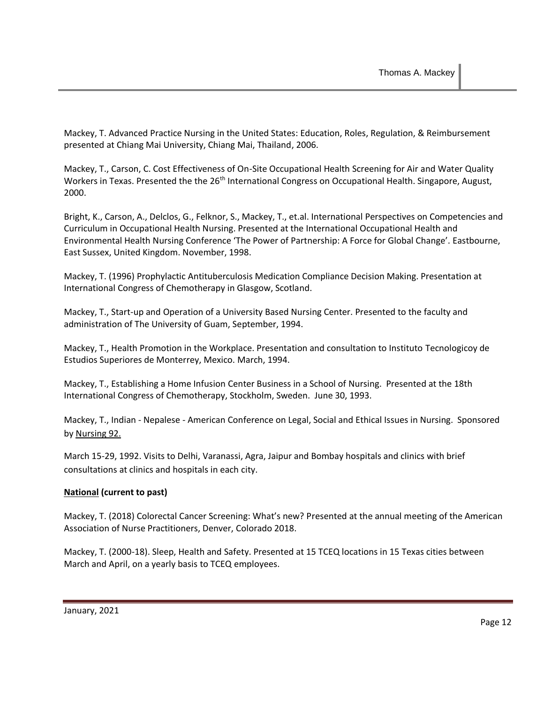Mackey, T. Advanced Practice Nursing in the United States: Education, Roles, Regulation, & Reimbursement presented at Chiang Mai University, Chiang Mai, Thailand, 2006.

Mackey, T., Carson, C. Cost Effectiveness of On-Site Occupational Health Screening for Air and Water Quality Workers in Texas. Presented the the 26<sup>th</sup> International Congress on Occupational Health. Singapore, August, 2000.

Bright, K., Carson, A., Delclos, G., Felknor, S., Mackey, T., et.al. International Perspectives on Competencies and Curriculum in Occupational Health Nursing. Presented at the International Occupational Health and Environmental Health Nursing Conference 'The Power of Partnership: A Force for Global Change'. Eastbourne, East Sussex, United Kingdom. November, 1998.

Mackey, T. (1996) Prophylactic Antituberculosis Medication Compliance Decision Making. Presentation at International Congress of Chemotherapy in Glasgow, Scotland.

Mackey, T., Start-up and Operation of a University Based Nursing Center. Presented to the faculty and administration of The University of Guam, September, 1994.

Mackey, T., Health Promotion in the Workplace. Presentation and consultation to Instituto Tecnologicoy de Estudios Superiores de Monterrey, Mexico. March, 1994.

Mackey, T., Establishing a Home Infusion Center Business in a School of Nursing. Presented at the 18th International Congress of Chemotherapy, Stockholm, Sweden. June 30, 1993.

Mackey, T., Indian - Nepalese - American Conference on Legal, Social and Ethical Issues in Nursing. Sponsored by Nursing 92.

March 15-29, 1992. Visits to Delhi, Varanassi, Agra, Jaipur and Bombay hospitals and clinics with brief consultations at clinics and hospitals in each city.

## **National (current to past)**

Mackey, T. (2018) Colorectal Cancer Screening: What's new? Presented at the annual meeting of the American Association of Nurse Practitioners, Denver, Colorado 2018.

Mackey, T. (2000-18). Sleep, Health and Safety. Presented at 15 TCEQ locations in 15 Texas cities between March and April, on a yearly basis to TCEQ employees.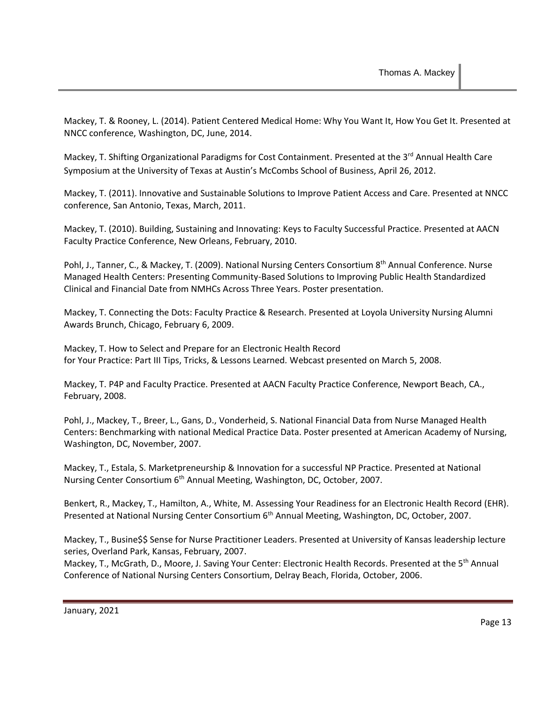Mackey, T. & Rooney, L. (2014). Patient Centered Medical Home: Why You Want It, How You Get It. Presented at NNCC conference, Washington, DC, June, 2014.

Mackey, T. Shifting Organizational Paradigms for Cost Containment. Presented at the 3<sup>rd</sup> Annual Health Care Symposium at the University of Texas at Austin's McCombs School of Business, April 26, 2012.

Mackey, T. (2011). Innovative and Sustainable Solutions to Improve Patient Access and Care. Presented at NNCC conference, San Antonio, Texas, March, 2011.

Mackey, T. (2010). Building, Sustaining and Innovating: Keys to Faculty Successful Practice. Presented at AACN Faculty Practice Conference, New Orleans, February, 2010.

Pohl, J., Tanner, C., & Mackey, T. (2009). National Nursing Centers Consortium 8<sup>th</sup> Annual Conference. Nurse Managed Health Centers: Presenting Community-Based Solutions to Improving Public Health Standardized Clinical and Financial Date from NMHCs Across Three Years. Poster presentation.

Mackey, T. Connecting the Dots: Faculty Practice & Research. Presented at Loyola University Nursing Alumni Awards Brunch, Chicago, February 6, 2009.

Mackey, T. How to Select and Prepare for an Electronic Health Record for Your Practice: Part III Tips, Tricks, & Lessons Learned*.* Webcast presented on March 5, 2008.

Mackey, T. P4P and Faculty Practice. Presented at AACN Faculty Practice Conference, Newport Beach, CA., February, 2008.

Pohl, J., Mackey, T., Breer, L., Gans, D., Vonderheid, S. National Financial Data from Nurse Managed Health Centers: Benchmarking with national Medical Practice Data. Poster presented at American Academy of Nursing, Washington, DC, November, 2007.

Mackey, T., Estala, S. Marketpreneurship & Innovation for a successful NP Practice. Presented at National Nursing Center Consortium 6<sup>th</sup> Annual Meeting, Washington, DC, October, 2007.

Benkert, R., Mackey, T., Hamilton, A., White, M. Assessing Your Readiness for an Electronic Health Record (EHR). Presented at National Nursing Center Consortium 6<sup>th</sup> Annual Meeting, Washington, DC, October, 2007.

Mackey, T., Busine\$\$ Sense for Nurse Practitioner Leaders. Presented at University of Kansas leadership lecture series, Overland Park, Kansas, February, 2007.

Mackey, T., McGrath, D., Moore, J. Saving Your Center: Electronic Health Records. Presented at the 5<sup>th</sup> Annual Conference of National Nursing Centers Consortium, Delray Beach, Florida, October, 2006.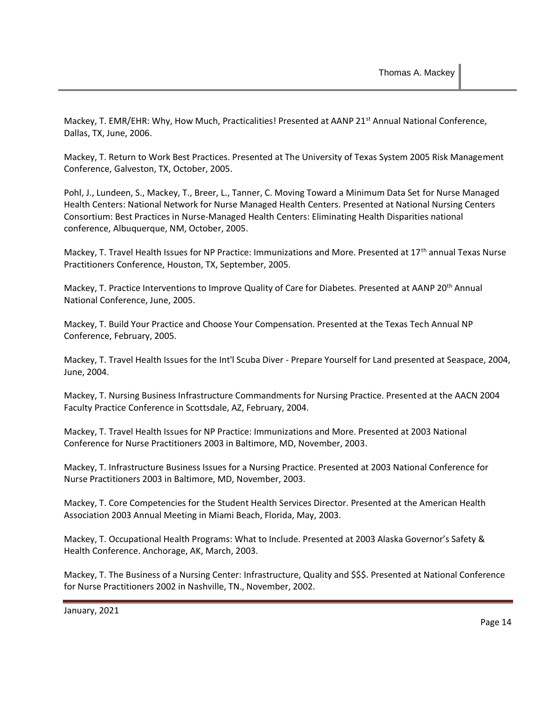Mackey, T. EMR/EHR: Why, How Much, Practicalities! Presented at AANP 21<sup>st</sup> Annual National Conference, Dallas, TX, June, 2006.

Mackey, T. Return to Work Best Practices. Presented at The University of Texas System 2005 Risk Management Conference, Galveston, TX, October, 2005.

Pohl, J., Lundeen, S., Mackey, T., Breer, L., Tanner, C. Moving Toward a Minimum Data Set for Nurse Managed Health Centers: National Network for Nurse Managed Health Centers. Presented at National Nursing Centers Consortium: Best Practices in Nurse-Managed Health Centers: Eliminating Health Disparities national conference, Albuquerque, NM, October, 2005.

Mackey, T. Travel Health Issues for NP Practice: Immunizations and More. Presented at 17<sup>th</sup> annual Texas Nurse Practitioners Conference, Houston, TX, September, 2005.

Mackey, T. Practice Interventions to Improve Quality of Care for Diabetes. Presented at AANP 20<sup>th</sup> Annual National Conference, June, 2005.

Mackey, T. Build Your Practice and Choose Your Compensation. Presented at the Texas Tech Annual NP Conference, February, 2005.

Mackey, T. Travel Health Issues for the Int'l Scuba Diver - Prepare Yourself for Land presented at Seaspace, 2004, June, 2004.

Mackey, T. Nursing Business Infrastructure Commandments for Nursing Practice. Presented at the AACN 2004 Faculty Practice Conference in Scottsdale, AZ, February, 2004.

Mackey, T. Travel Health Issues for NP Practice: Immunizations and More. Presented at 2003 National Conference for Nurse Practitioners 2003 in Baltimore, MD, November, 2003.

Mackey, T. Infrastructure Business Issues for a Nursing Practice. Presented at 2003 National Conference for Nurse Practitioners 2003 in Baltimore, MD, November, 2003.

Mackey, T. Core Competencies for the Student Health Services Director. Presented at the American Health Association 2003 Annual Meeting in Miami Beach, Florida, May, 2003.

Mackey, T. Occupational Health Programs: What to Include. Presented at 2003 Alaska Governor's Safety & Health Conference. Anchorage, AK, March, 2003.

Mackey, T. The Business of a Nursing Center: Infrastructure, Quality and \$\$\$. Presented at National Conference for Nurse Practitioners 2002 in Nashville, TN., November, 2002.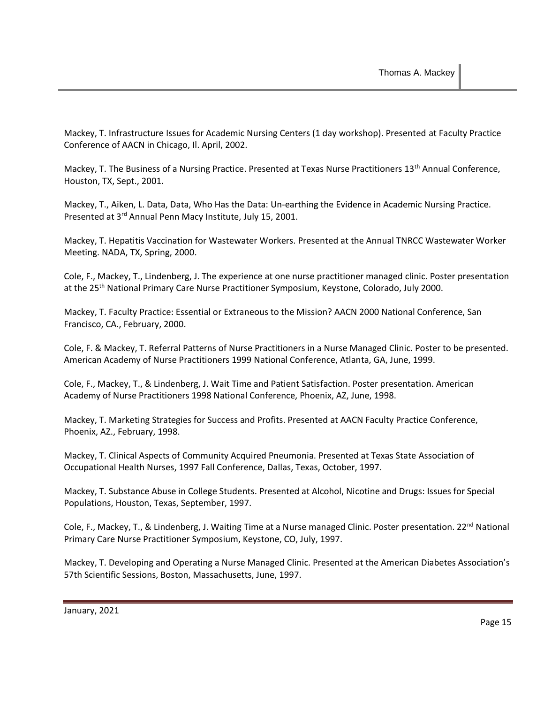Mackey, T. Infrastructure Issues for Academic Nursing Centers (1 day workshop). Presented at Faculty Practice Conference of AACN in Chicago, Il. April, 2002.

Mackey, T. The Business of a Nursing Practice. Presented at Texas Nurse Practitioners 13th Annual Conference, Houston, TX, Sept., 2001.

Mackey, T., Aiken, L. Data, Data, Who Has the Data: Un-earthing the Evidence in Academic Nursing Practice. Presented at 3<sup>rd</sup> Annual Penn Macy Institute, July 15, 2001.

Mackey, T. Hepatitis Vaccination for Wastewater Workers. Presented at the Annual TNRCC Wastewater Worker Meeting. NADA, TX, Spring, 2000.

Cole, F., Mackey, T., Lindenberg, J. The experience at one nurse practitioner managed clinic. Poster presentation at the 25<sup>th</sup> National Primary Care Nurse Practitioner Symposium, Keystone, Colorado, July 2000.

Mackey, T. Faculty Practice: Essential or Extraneous to the Mission? AACN 2000 National Conference, San Francisco, CA., February, 2000.

Cole, F. & Mackey, T. Referral Patterns of Nurse Practitioners in a Nurse Managed Clinic. Poster to be presented. American Academy of Nurse Practitioners 1999 National Conference, Atlanta, GA, June, 1999.

Cole, F., Mackey, T., & Lindenberg, J. Wait Time and Patient Satisfaction. Poster presentation. American Academy of Nurse Practitioners 1998 National Conference, Phoenix, AZ, June, 1998.

Mackey, T. Marketing Strategies for Success and Profits. Presented at AACN Faculty Practice Conference, Phoenix, AZ., February, 1998.

Mackey, T. Clinical Aspects of Community Acquired Pneumonia. Presented at Texas State Association of Occupational Health Nurses, 1997 Fall Conference, Dallas, Texas, October, 1997.

Mackey, T. Substance Abuse in College Students. Presented at Alcohol, Nicotine and Drugs: Issues for Special Populations, Houston, Texas, September, 1997.

Cole, F., Mackey, T., & Lindenberg, J. Waiting Time at a Nurse managed Clinic. Poster presentation. 22<sup>nd</sup> National Primary Care Nurse Practitioner Symposium, Keystone, CO, July, 1997.

Mackey, T. Developing and Operating a Nurse Managed Clinic. Presented at the American Diabetes Association's 57th Scientific Sessions, Boston, Massachusetts, June, 1997.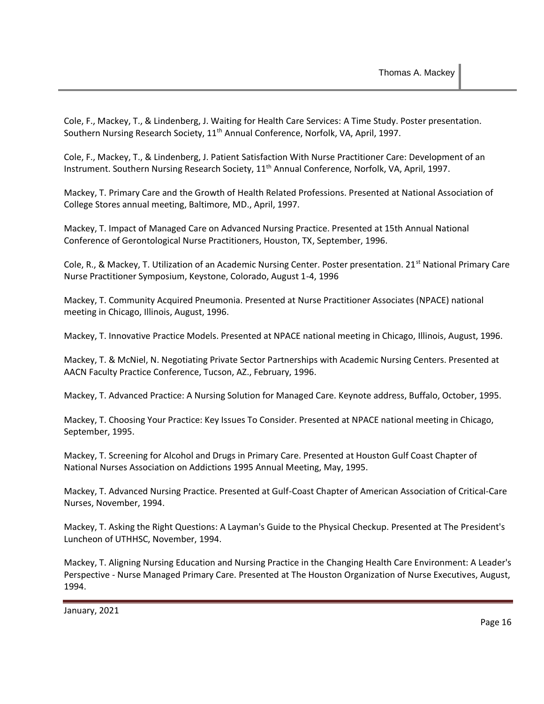Cole, F., Mackey, T., & Lindenberg, J. Waiting for Health Care Services: A Time Study. Poster presentation. Southern Nursing Research Society, 11<sup>th</sup> Annual Conference, Norfolk, VA, April, 1997.

Cole, F., Mackey, T., & Lindenberg, J. Patient Satisfaction With Nurse Practitioner Care: Development of an Instrument. Southern Nursing Research Society, 11<sup>th</sup> Annual Conference, Norfolk, VA, April, 1997.

Mackey, T. Primary Care and the Growth of Health Related Professions. Presented at National Association of College Stores annual meeting, Baltimore, MD., April, 1997.

Mackey, T. Impact of Managed Care on Advanced Nursing Practice. Presented at 15th Annual National Conference of Gerontological Nurse Practitioners, Houston, TX, September, 1996.

Cole, R., & Mackey, T. Utilization of an Academic Nursing Center. Poster presentation. 21<sup>st</sup> National Primary Care Nurse Practitioner Symposium, Keystone, Colorado, August 1-4, 1996

Mackey, T. Community Acquired Pneumonia. Presented at Nurse Practitioner Associates (NPACE) national meeting in Chicago, Illinois, August, 1996.

Mackey, T. Innovative Practice Models. Presented at NPACE national meeting in Chicago, Illinois, August, 1996.

Mackey, T. & McNiel, N. Negotiating Private Sector Partnerships with Academic Nursing Centers. Presented at AACN Faculty Practice Conference, Tucson, AZ., February, 1996.

Mackey, T. Advanced Practice: A Nursing Solution for Managed Care. Keynote address, Buffalo, October, 1995.

Mackey, T. Choosing Your Practice: Key Issues To Consider. Presented at NPACE national meeting in Chicago, September, 1995.

Mackey, T. Screening for Alcohol and Drugs in Primary Care. Presented at Houston Gulf Coast Chapter of National Nurses Association on Addictions 1995 Annual Meeting, May, 1995.

Mackey, T. Advanced Nursing Practice. Presented at Gulf-Coast Chapter of American Association of Critical-Care Nurses, November, 1994.

Mackey, T. Asking the Right Questions: A Layman's Guide to the Physical Checkup. Presented at The President's Luncheon of UTHHSC, November, 1994.

Mackey, T. Aligning Nursing Education and Nursing Practice in the Changing Health Care Environment: A Leader's Perspective - Nurse Managed Primary Care. Presented at The Houston Organization of Nurse Executives, August, 1994.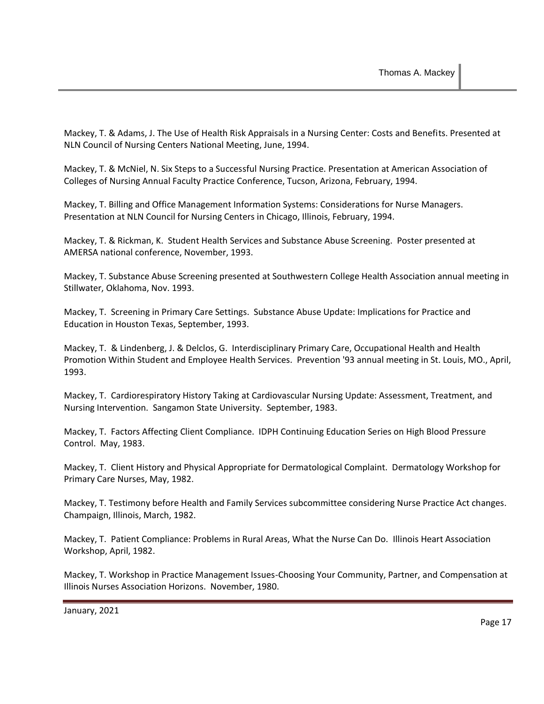Mackey, T. & Adams, J. The Use of Health Risk Appraisals in a Nursing Center: Costs and Benefits. Presented at NLN Council of Nursing Centers National Meeting, June, 1994.

Mackey, T. & McNiel, N. Six Steps to a Successful Nursing Practice. Presentation at American Association of Colleges of Nursing Annual Faculty Practice Conference, Tucson, Arizona, February, 1994.

Mackey, T. Billing and Office Management Information Systems: Considerations for Nurse Managers. Presentation at NLN Council for Nursing Centers in Chicago, Illinois, February, 1994.

Mackey, T. & Rickman, K. Student Health Services and Substance Abuse Screening. Poster presented at AMERSA national conference, November, 1993.

Mackey, T. Substance Abuse Screening presented at Southwestern College Health Association annual meeting in Stillwater, Oklahoma, Nov. 1993.

Mackey, T. Screening in Primary Care Settings. Substance Abuse Update: Implications for Practice and Education in Houston Texas, September, 1993.

Mackey, T. & Lindenberg, J. & Delclos, G. Interdisciplinary Primary Care, Occupational Health and Health Promotion Within Student and Employee Health Services. Prevention '93 annual meeting in St. Louis, MO., April, 1993.

Mackey, T. Cardiorespiratory History Taking at Cardiovascular Nursing Update: Assessment, Treatment, and Nursing Intervention. Sangamon State University. September, 1983.

Mackey, T. Factors Affecting Client Compliance. IDPH Continuing Education Series on High Blood Pressure Control. May, 1983.

Mackey, T. Client History and Physical Appropriate for Dermatological Complaint. Dermatology Workshop for Primary Care Nurses, May, 1982.

Mackey, T. Testimony before Health and Family Services subcommittee considering Nurse Practice Act changes. Champaign, Illinois, March, 1982.

Mackey, T. Patient Compliance: Problems in Rural Areas, What the Nurse Can Do. Illinois Heart Association Workshop, April, 1982.

Mackey, T. Workshop in Practice Management Issues-Choosing Your Community, Partner, and Compensation at Illinois Nurses Association Horizons. November, 1980.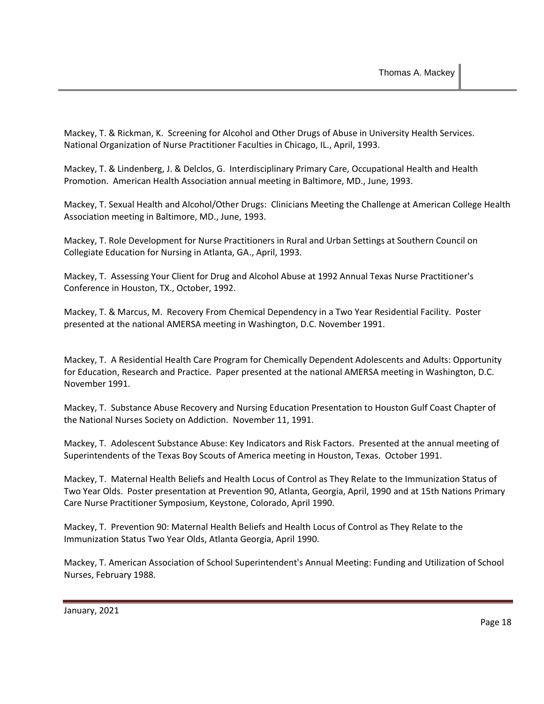Mackey, T. & Rickman, K. Screening for Alcohol and Other Drugs of Abuse in University Health Services. National Organization of Nurse Practitioner Faculties in Chicago, IL., April, 1993.

Mackey, T. & Lindenberg, J. & Delclos, G. Interdisciplinary Primary Care, Occupational Health and Health Promotion. American Health Association annual meeting in Baltimore, MD., June, 1993.

Mackey, T. Sexual Health and Alcohol/Other Drugs: Clinicians Meeting the Challenge at American College Health Association meeting in Baltimore, MD., June, 1993.

Mackey, T. Role Development for Nurse Practitioners in Rural and Urban Settings at Southern Council on Collegiate Education for Nursing in Atlanta, GA., April, 1993.

Mackey, T. Assessing Your Client for Drug and Alcohol Abuse at 1992 Annual Texas Nurse Practitioner's Conference in Houston, TX., October, 1992.

Mackey, T. & Marcus, M. Recovery From Chemical Dependency in a Two Year Residential Facility. Poster presented at the national AMERSA meeting in Washington, D.C. November 1991.

Mackey, T. A Residential Health Care Program for Chemically Dependent Adolescents and Adults: Opportunity for Education, Research and Practice. Paper presented at the national AMERSA meeting in Washington, D.C. November 1991.

Mackey, T. Substance Abuse Recovery and Nursing Education Presentation to Houston Gulf Coast Chapter of the National Nurses Society on Addiction. November 11, 1991.

Mackey, T. Adolescent Substance Abuse: Key Indicators and Risk Factors. Presented at the annual meeting of Superintendents of the Texas Boy Scouts of America meeting in Houston, Texas. October 1991.

Mackey, T. Maternal Health Beliefs and Health Locus of Control as They Relate to the Immunization Status of Two Year Olds. Poster presentation at Prevention 90, Atlanta, Georgia, April, 1990 and at 15th Nations Primary Care Nurse Practitioner Symposium, Keystone, Colorado, April 1990.

Mackey, T. Prevention 90: Maternal Health Beliefs and Health Locus of Control as They Relate to the Immunization Status Two Year Olds, Atlanta Georgia, April 1990.

Mackey, T. American Association of School Superintendent's Annual Meeting: Funding and Utilization of School Nurses, February 1988.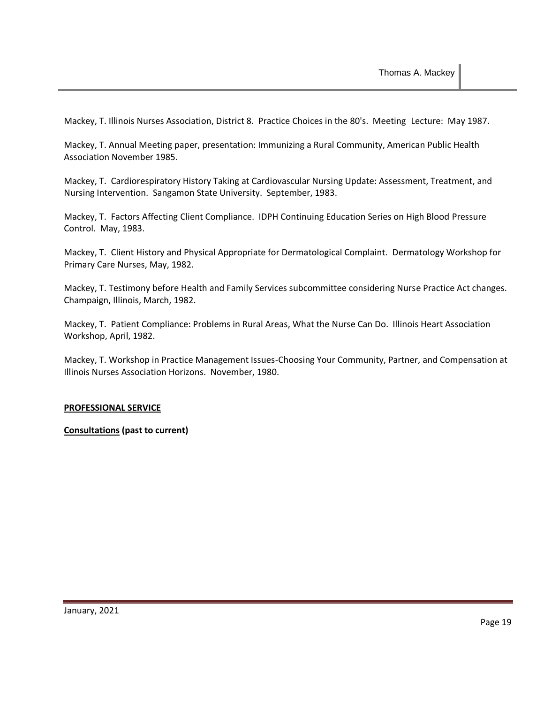Mackey, T. Illinois Nurses Association, District 8. Practice Choices in the 80's. Meeting Lecture: May 1987.

Mackey, T. Annual Meeting paper, presentation: Immunizing a Rural Community, American Public Health Association November 1985.

Mackey, T. Cardiorespiratory History Taking at Cardiovascular Nursing Update: Assessment, Treatment, and Nursing Intervention. Sangamon State University. September, 1983.

Mackey, T. Factors Affecting Client Compliance. IDPH Continuing Education Series on High Blood Pressure Control. May, 1983.

Mackey, T. Client History and Physical Appropriate for Dermatological Complaint. Dermatology Workshop for Primary Care Nurses, May, 1982.

Mackey, T. Testimony before Health and Family Services subcommittee considering Nurse Practice Act changes. Champaign, Illinois, March, 1982.

Mackey, T. Patient Compliance: Problems in Rural Areas, What the Nurse Can Do. Illinois Heart Association Workshop, April, 1982.

Mackey, T. Workshop in Practice Management Issues-Choosing Your Community, Partner, and Compensation at Illinois Nurses Association Horizons. November, 1980.

#### **PROFESSIONAL SERVICE**

**Consultations (past to current)**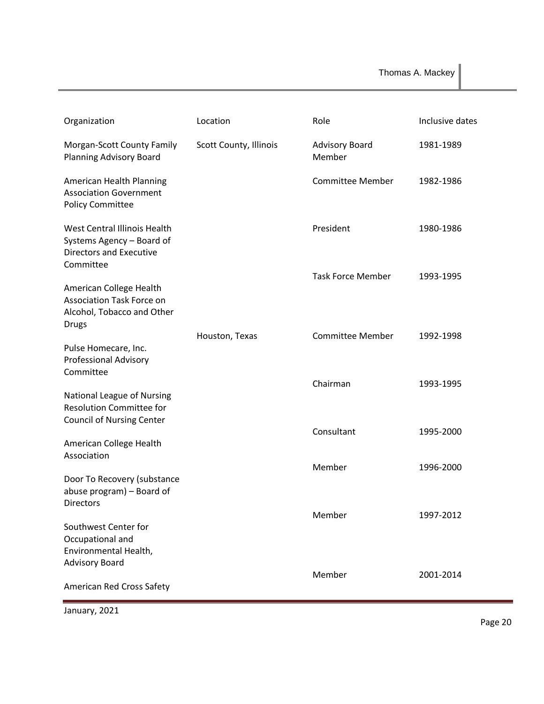| Organization                                                                                              | Location               | Role                     | Inclusive dates |
|-----------------------------------------------------------------------------------------------------------|------------------------|--------------------------|-----------------|
| Morgan-Scott County Family<br>Planning Advisory Board                                                     | Scott County, Illinois | Advisory Board<br>Member | 1981-1989       |
| American Health Planning<br><b>Association Government</b><br><b>Policy Committee</b>                      |                        | <b>Committee Member</b>  | 1982-1986       |
| West Central Illinois Health<br>Systems Agency - Board of<br><b>Directors and Executive</b><br>Committee  |                        | President                | 1980-1986       |
| American College Health<br><b>Association Task Force on</b><br>Alcohol, Tobacco and Other<br><b>Drugs</b> |                        | <b>Task Force Member</b> | 1993-1995       |
| Pulse Homecare, Inc.<br><b>Professional Advisory</b><br>Committee                                         | Houston, Texas         | <b>Committee Member</b>  | 1992-1998       |
| National League of Nursing<br><b>Resolution Committee for</b><br><b>Council of Nursing Center</b>         |                        | Chairman                 | 1993-1995       |
| American College Health<br>Association                                                                    |                        | Consultant               | 1995-2000       |
| Door To Recovery (substance<br>abuse program) - Board of<br><b>Directors</b>                              |                        | Member                   | 1996-2000       |
| Southwest Center for<br>Occupational and                                                                  |                        | Member                   | 1997-2012       |
| Environmental Health,<br><b>Advisory Board</b>                                                            |                        | Member                   | 2001-2014       |
| American Red Cross Safety                                                                                 |                        |                          |                 |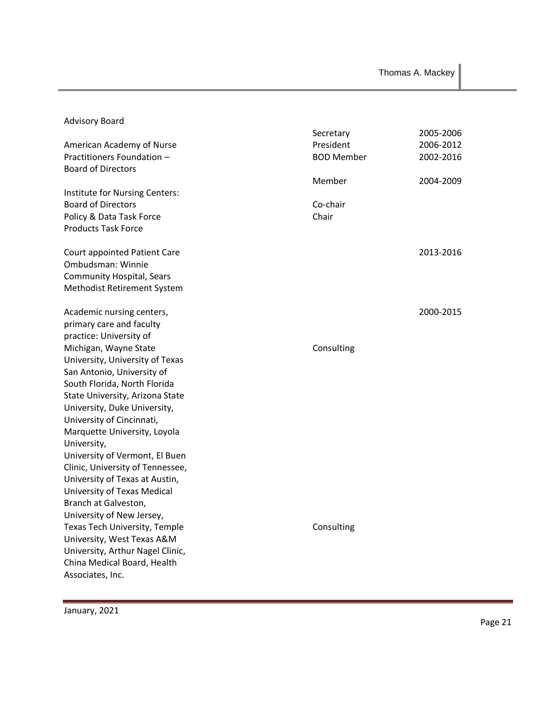Thomas A. Mackey

| <b>Advisory Board</b>                                          |                   |           |
|----------------------------------------------------------------|-------------------|-----------|
|                                                                | Secretary         | 2005-2006 |
| American Academy of Nurse                                      | President         | 2006-2012 |
| Practitioners Foundation -                                     | <b>BOD Member</b> | 2002-2016 |
| <b>Board of Directors</b>                                      |                   |           |
|                                                                | Member            | 2004-2009 |
| Institute for Nursing Centers:                                 |                   |           |
| <b>Board of Directors</b>                                      | Co-chair          |           |
| Policy & Data Task Force                                       | Chair             |           |
| <b>Products Task Force</b>                                     |                   |           |
|                                                                |                   |           |
| <b>Court appointed Patient Care</b>                            |                   | 2013-2016 |
| Ombudsman: Winnie                                              |                   |           |
| <b>Community Hospital, Sears</b>                               |                   |           |
| Methodist Retirement System                                    |                   |           |
|                                                                |                   |           |
| Academic nursing centers,                                      |                   | 2000-2015 |
| primary care and faculty                                       |                   |           |
| practice: University of                                        |                   |           |
| Michigan, Wayne State                                          | Consulting        |           |
| University, University of Texas                                |                   |           |
| San Antonio, University of                                     |                   |           |
| South Florida, North Florida                                   |                   |           |
| State University, Arizona State                                |                   |           |
| University, Duke University,                                   |                   |           |
| University of Cincinnati,                                      |                   |           |
| Marquette University, Loyola                                   |                   |           |
| University,                                                    |                   |           |
| University of Vermont, El Buen                                 |                   |           |
| Clinic, University of Tennessee,                               |                   |           |
| University of Texas at Austin,                                 |                   |           |
| University of Texas Medical                                    |                   |           |
| Branch at Galveston,                                           |                   |           |
| University of New Jersey,                                      |                   |           |
| Texas Tech University, Temple                                  | Consulting        |           |
|                                                                |                   |           |
| University, West Texas A&M<br>University, Arthur Nagel Clinic, |                   |           |
| China Medical Board, Health                                    |                   |           |
|                                                                |                   |           |
| Associates, Inc.                                               |                   |           |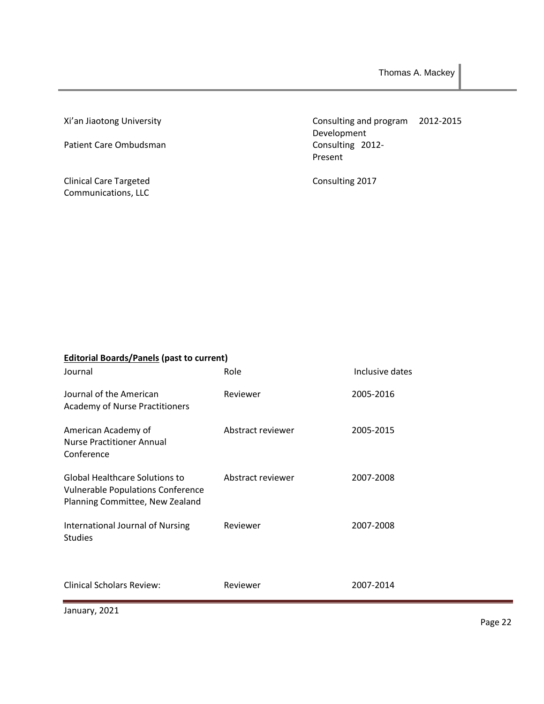Xi'an Jiaotong University

Patient Care Ombudsman

Clinical Care Targeted Communications, LLC

Consulting and program 2012-2015 Development Consulting 2012- Present

Consulting 2017

| <b>Editorial Boards/Panels (past to current)</b><br>Journal                                                   | Role              | Inclusive dates |
|---------------------------------------------------------------------------------------------------------------|-------------------|-----------------|
| Journal of the American<br><b>Academy of Nurse Practitioners</b>                                              | Reviewer          | 2005-2016       |
| American Academy of<br><b>Nurse Practitioner Annual</b><br>Conference                                         | Abstract reviewer | 2005-2015       |
| Global Healthcare Solutions to<br><b>Vulnerable Populations Conference</b><br>Planning Committee, New Zealand | Abstract reviewer | 2007-2008       |
| International Journal of Nursing<br><b>Studies</b>                                                            | Reviewer          | 2007-2008       |
| <b>Clinical Scholars Review:</b>                                                                              | Reviewer          | 2007-2014       |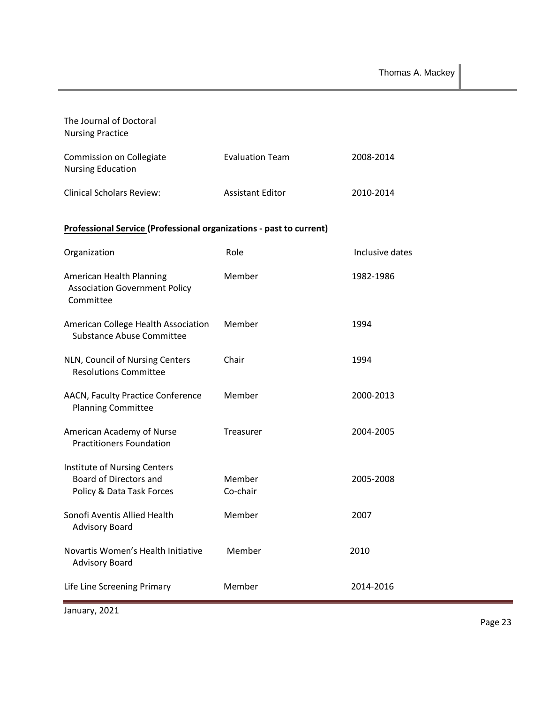| The Journal of Doctoral<br><b>Nursing Practice</b>                                  |                         |                 |
|-------------------------------------------------------------------------------------|-------------------------|-----------------|
| Commission on Collegiate<br><b>Nursing Education</b>                                | <b>Evaluation Team</b>  | 2008-2014       |
| <b>Clinical Scholars Review:</b>                                                    | <b>Assistant Editor</b> | 2010-2014       |
| <b>Professional Service (Professional organizations - past to current)</b>          |                         |                 |
| Organization                                                                        | Role                    | Inclusive dates |
| American Health Planning<br><b>Association Government Policy</b><br>Committee       | Member                  | 1982-1986       |
| American College Health Association<br>Substance Abuse Committee                    | Member                  | 1994            |
| NLN, Council of Nursing Centers<br><b>Resolutions Committee</b>                     | Chair                   | 1994            |
| AACN, Faculty Practice Conference<br><b>Planning Committee</b>                      | Member                  | 2000-2013       |
| American Academy of Nurse<br><b>Practitioners Foundation</b>                        | Treasurer               | 2004-2005       |
| Institute of Nursing Centers<br>Board of Directors and<br>Policy & Data Task Forces | Member<br>Co-chair      | 2005-2008       |
| Sonofi Aventis Allied Health<br><b>Advisory Board</b>                               | Member                  | 2007            |
| Novartis Women's Health Initiative<br><b>Advisory Board</b>                         | Member                  | 2010            |
| Life Line Screening Primary                                                         | Member                  | 2014-2016       |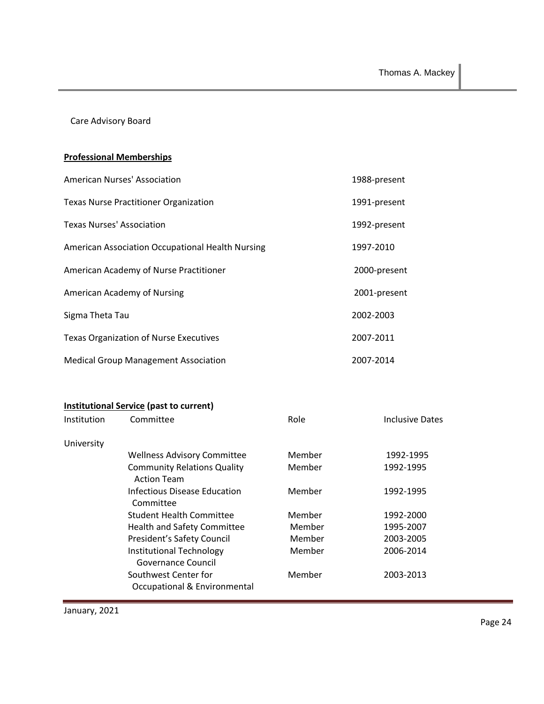Care Advisory Board

# **Professional Memberships**

| American Nurses' Association                     | 1988-present |
|--------------------------------------------------|--------------|
| <b>Texas Nurse Practitioner Organization</b>     | 1991-present |
| Texas Nurses' Association                        | 1992-present |
| American Association Occupational Health Nursing | 1997-2010    |
| American Academy of Nurse Practitioner           | 2000-present |
| American Academy of Nursing                      | 2001-present |
| Sigma Theta Tau                                  | 2002-2003    |
| <b>Texas Organization of Nurse Executives</b>    | 2007-2011    |
| <b>Medical Group Management Association</b>      | 2007-2014    |

# **Institutional Service (past to current)**

| Institution | Committee                                                | Role   | <b>Inclusive Dates</b> |
|-------------|----------------------------------------------------------|--------|------------------------|
| University  |                                                          |        |                        |
|             | <b>Wellness Advisory Committee</b>                       | Member | 1992-1995              |
|             | <b>Community Relations Quality</b><br><b>Action Team</b> | Member | 1992-1995              |
|             | Infectious Disease Education<br>Committee                | Member | 1992-1995              |
|             | Student Health Committee                                 | Member | 1992-2000              |
|             | Health and Safety Committee                              | Member | 1995-2007              |
|             | President's Safety Council                               | Member | 2003-2005              |
|             | Institutional Technology<br>Governance Council           | Member | 2006-2014              |
|             | Southwest Center for<br>Occupational & Environmental     | Member | 2003-2013              |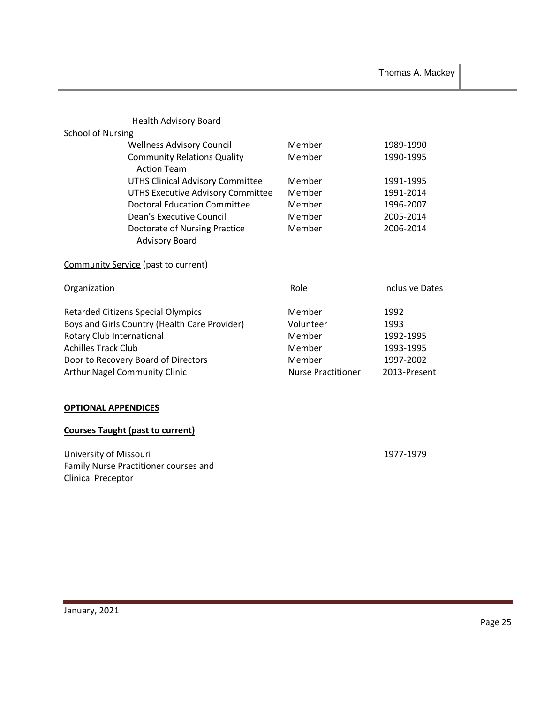|                                         | <b>Health Advisory Board</b>                             |                           |                        |
|-----------------------------------------|----------------------------------------------------------|---------------------------|------------------------|
| <b>School of Nursing</b>                |                                                          | Member                    |                        |
|                                         | <b>Wellness Advisory Council</b>                         |                           | 1989-1990              |
|                                         | <b>Community Relations Quality</b><br><b>Action Team</b> | Member                    | 1990-1995              |
|                                         | <b>UTHS Clinical Advisory Committee</b>                  | Member                    | 1991-1995              |
|                                         | <b>UTHS Executive Advisory Committee</b>                 | Member                    | 1991-2014              |
|                                         | Doctoral Education Committee                             | Member                    | 1996-2007              |
|                                         | Dean's Executive Council                                 | Member                    | 2005-2014              |
|                                         | Doctorate of Nursing Practice                            | Member                    | 2006-2014              |
|                                         | <b>Advisory Board</b>                                    |                           |                        |
|                                         | Community Service (past to current)                      |                           |                        |
| Organization                            |                                                          | Role                      | <b>Inclusive Dates</b> |
|                                         | Retarded Citizens Special Olympics                       | Member                    | 1992                   |
|                                         | Boys and Girls Country (Health Care Provider)            | Volunteer                 | 1993                   |
| Rotary Club International               |                                                          | Member                    | 1992-1995              |
| <b>Achilles Track Club</b>              |                                                          | Member                    | 1993-1995              |
|                                         | Door to Recovery Board of Directors                      | Member                    | 1997-2002              |
|                                         | <b>Arthur Nagel Community Clinic</b>                     | <b>Nurse Practitioner</b> | 2013-Present           |
|                                         |                                                          |                           |                        |
| <b>OPTIONAL APPENDICES</b>              |                                                          |                           |                        |
| <b>Courses Taught (past to current)</b> |                                                          |                           |                        |

University of Missouri 1977-1979

Clinical Preceptor

Family Nurse Practitioner courses and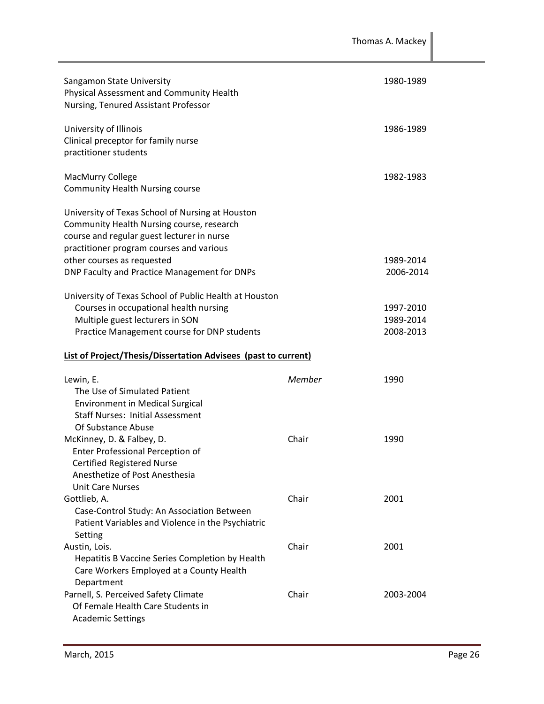| Sangamon State University<br>Physical Assessment and Community Health<br>Nursing, Tenured Assistant Professor                                                                           |        | 1980-1989                           |
|-----------------------------------------------------------------------------------------------------------------------------------------------------------------------------------------|--------|-------------------------------------|
| University of Illinois<br>Clinical preceptor for family nurse<br>practitioner students                                                                                                  |        | 1986-1989                           |
| MacMurry College<br><b>Community Health Nursing course</b>                                                                                                                              |        | 1982-1983                           |
| University of Texas School of Nursing at Houston<br>Community Health Nursing course, research<br>course and regular guest lecturer in nurse<br>practitioner program courses and various |        |                                     |
| other courses as requested<br>DNP Faculty and Practice Management for DNPs                                                                                                              |        | 1989-2014<br>2006-2014              |
| University of Texas School of Public Health at Houston<br>Courses in occupational health nursing<br>Multiple guest lecturers in SON<br>Practice Management course for DNP students      |        | 1997-2010<br>1989-2014<br>2008-2013 |
|                                                                                                                                                                                         |        |                                     |
| <b>List of Project/Thesis/Dissertation Advisees (past to current)</b>                                                                                                                   |        |                                     |
| Lewin, E.<br>The Use of Simulated Patient<br><b>Environment in Medical Surgical</b><br><b>Staff Nurses: Initial Assessment</b>                                                          | Member | 1990                                |
| Of Substance Abuse<br>McKinney, D. & Falbey, D.<br>Enter Professional Perception of<br><b>Certified Registered Nurse</b><br>Anesthetize of Post Anesthesia                              | Chair  | 1990                                |
| <b>Unit Care Nurses</b><br>Gottlieb, A.<br>Case-Control Study: An Association Between<br>Patient Variables and Violence in the Psychiatric                                              | Chair  | 2001                                |
| Setting<br>Austin, Lois.<br>Hepatitis B Vaccine Series Completion by Health<br>Care Workers Employed at a County Health<br>Department                                                   | Chair  | 2001                                |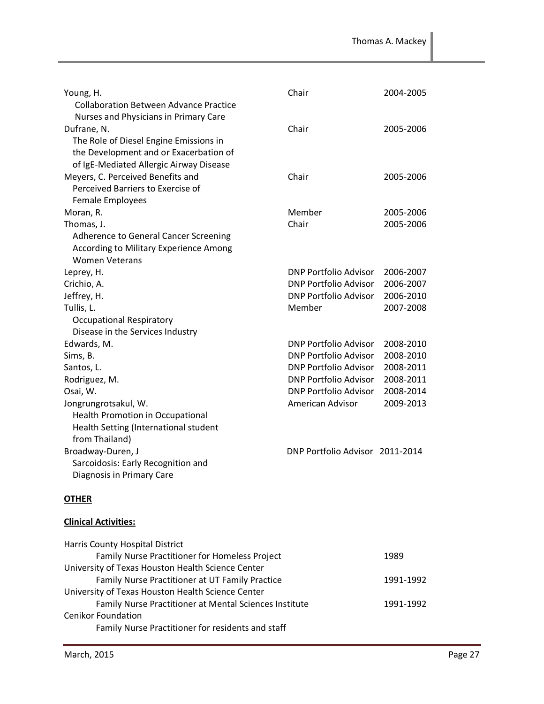| Young, H.<br><b>Collaboration Between Advance Practice</b>                                                                                                                          | Chair                           | 2004-2005 |
|-------------------------------------------------------------------------------------------------------------------------------------------------------------------------------------|---------------------------------|-----------|
| Nurses and Physicians in Primary Care<br>Dufrane, N.<br>The Role of Diesel Engine Emissions in<br>the Development and or Exacerbation of<br>of IgE-Mediated Allergic Airway Disease | Chair                           | 2005-2006 |
| Meyers, C. Perceived Benefits and<br>Perceived Barriers to Exercise of<br><b>Female Employees</b>                                                                                   | Chair                           | 2005-2006 |
| Moran, R.                                                                                                                                                                           | Member                          | 2005-2006 |
| Thomas, J.                                                                                                                                                                          | Chair                           | 2005-2006 |
| Adherence to General Cancer Screening                                                                                                                                               |                                 |           |
| According to Military Experience Among                                                                                                                                              |                                 |           |
| <b>Women Veterans</b>                                                                                                                                                               |                                 |           |
| Leprey, H.                                                                                                                                                                          | DNP Portfolio Advisor           | 2006-2007 |
| Crichio, A.                                                                                                                                                                         | DNP Portfolio Advisor           | 2006-2007 |
| Jeffrey, H.                                                                                                                                                                         | DNP Portfolio Advisor           | 2006-2010 |
| Tullis, L.                                                                                                                                                                          | Member                          | 2007-2008 |
| <b>Occupational Respiratory</b>                                                                                                                                                     |                                 |           |
| Disease in the Services Industry                                                                                                                                                    |                                 |           |
| Edwards, M.                                                                                                                                                                         | DNP Portfolio Advisor           | 2008-2010 |
| Sims, B.                                                                                                                                                                            | <b>DNP Portfolio Advisor</b>    | 2008-2010 |
| Santos, L.                                                                                                                                                                          | DNP Portfolio Advisor           | 2008-2011 |
| Rodriguez, M.                                                                                                                                                                       | DNP Portfolio Advisor           | 2008-2011 |
| Osai, W.                                                                                                                                                                            | DNP Portfolio Advisor           | 2008-2014 |
| Jongrungrotsakul, W.<br>Health Promotion in Occupational<br>Health Setting (International student<br>from Thailand)                                                                 | American Advisor                | 2009-2013 |
| Broadway-Duren, J                                                                                                                                                                   | DNP Portfolio Advisor 2011-2014 |           |
| Sarcoidosis: Early Recognition and                                                                                                                                                  |                                 |           |
| Diagnosis in Primary Care                                                                                                                                                           |                                 |           |
| <b>OTHER</b>                                                                                                                                                                        |                                 |           |

## **Clinical Activities:**

| Harris County Hospital District                        |           |
|--------------------------------------------------------|-----------|
| Family Nurse Practitioner for Homeless Project         | 1989      |
| University of Texas Houston Health Science Center      |           |
| Family Nurse Practitioner at UT Family Practice        | 1991-1992 |
| University of Texas Houston Health Science Center      |           |
| Family Nurse Practitioner at Mental Sciences Institute | 1991-1992 |
| <b>Cenikor Foundation</b>                              |           |
| Family Nurse Practitioner for residents and staff      |           |